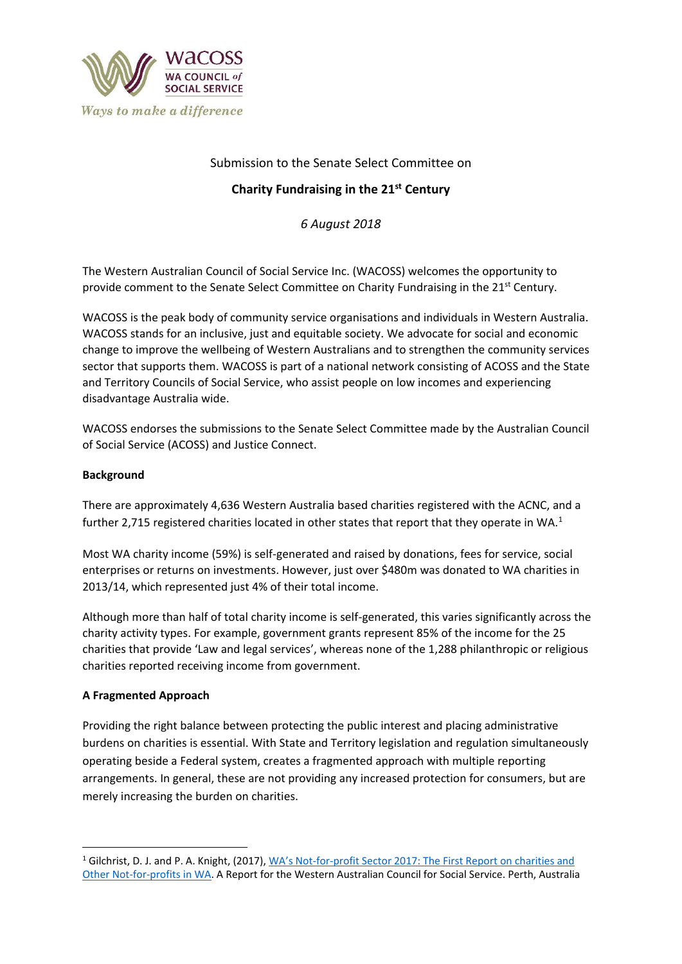

## Submission to the Senate Select Committee on

## **Charity Fundraising in the 21st Century**

*6 August 2018*

The Western Australian Council of Social Service Inc. (WACOSS) welcomes the opportunity to provide comment to the Senate Select Committee on Charity Fundraising in the 21<sup>st</sup> Century.

WACOSS is the peak body of community service organisations and individuals in Western Australia. WACOSS stands for an inclusive, just and equitable society. We advocate for social and economic change to improve the wellbeing of Western Australians and to strengthen the community services sector that supports them. WACOSS is part of a national network consisting of ACOSS and the State and Territory Councils of Social Service, who assist people on low incomes and experiencing disadvantage Australia wide.

WACOSS endorses the submissions to the Senate Select Committee made by the Australian Council of Social Service (ACOSS) and Justice Connect.

## **Background**

There are approximately 4,636 Western Australia based charities registered with the ACNC, and a further 2,715 registered charities located in other states that report that they operate in WA.<sup>1</sup>

Most WA charity income (59%) is self-generated and raised by donations, fees for service, social enterprises or returns on investments. However, just over \$480m was donated to WA charities in 2013/14, which represented just 4% of their total income.

Although more than half of total charity income is self-generated, this varies significantly across the charity activity types. For example, government grants represent 85% of the income for the 25 charities that provide 'Law and legal services', whereas none of the 1,288 philanthropic or religious charities reported receiving income from government.

## **A Fragmented Approach**

 $\overline{a}$ 

Providing the right balance between protecting the public interest and placing administrative burdens on charities is essential. With State and Territory legislation and regulation simultaneously operating beside a Federal system, creates a fragmented approach with multiple reporting arrangements. In general, these are not providing any increased protection for consumers, but are merely increasing the burden on charities.

<sup>&</sup>lt;sup>1</sup> Gilchrist, D. J. and P. A. Knight, (2017), WA's Not-for-profit Sector 2017: The First Report on charities and [Other Not-for-profits in WA.](http://wacoss.org.au/wp-content/uploads/2017/06/CURTIN-Landscape-Report.pdf) A Report for the Western Australian Council for Social Service. Perth, Australia